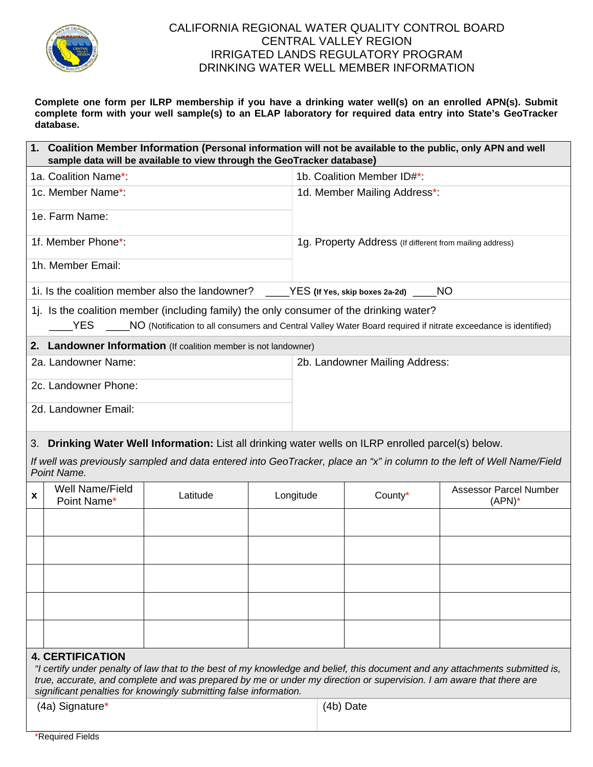

## CALIFORNIA REGIONAL WATER QUALITY CONTROL BOARD CENTRAL VALLEY REGION IRRIGATED LANDS REGULATORY PROGRAM DRINKING WATER WELL MEMBER INFORMATION

**Complete one form per ILRP membership if you have a drinking water well(s) on an enrolled APN(s). Submit complete form with your well sample(s) to an ELAP laboratory for required data entry into State's GeoTracker database.**

| 1. Coalition Member Information (Personal information will not be available to the public, only APN and well<br>sample data will be available to view through the GeoTracker database)                                                                                                                                                              |                                |          |           |                                                          |         |                                            |
|-----------------------------------------------------------------------------------------------------------------------------------------------------------------------------------------------------------------------------------------------------------------------------------------------------------------------------------------------------|--------------------------------|----------|-----------|----------------------------------------------------------|---------|--------------------------------------------|
|                                                                                                                                                                                                                                                                                                                                                     | 1a. Coalition Name*:           |          |           | 1b. Coalition Member ID#*:                               |         |                                            |
|                                                                                                                                                                                                                                                                                                                                                     | 1c. Member Name*:              |          |           | 1d. Member Mailing Address*:                             |         |                                            |
| 1e. Farm Name:                                                                                                                                                                                                                                                                                                                                      |                                |          |           |                                                          |         |                                            |
| 1f. Member Phone*:                                                                                                                                                                                                                                                                                                                                  |                                |          |           | 1g. Property Address (If different from mailing address) |         |                                            |
| 1h. Member Email:                                                                                                                                                                                                                                                                                                                                   |                                |          |           |                                                          |         |                                            |
| 1. Is the coalition member also the landowner?<br>_____YES (If Yes, skip boxes 2a-2d) _____NO                                                                                                                                                                                                                                                       |                                |          |           |                                                          |         |                                            |
| 1. Is the coalition member (including family) the only consumer of the drinking water?<br>YES _____NO (Notification to all consumers and Central Valley Water Board required if nitrate exceedance is identified)                                                                                                                                   |                                |          |           |                                                          |         |                                            |
| 2. Landowner Information (If coalition member is not landowner)                                                                                                                                                                                                                                                                                     |                                |          |           |                                                          |         |                                            |
| 2a. Landowner Name:                                                                                                                                                                                                                                                                                                                                 |                                |          |           | 2b. Landowner Mailing Address:                           |         |                                            |
| 2c. Landowner Phone:                                                                                                                                                                                                                                                                                                                                |                                |          |           |                                                          |         |                                            |
| 2d. Landowner Email:                                                                                                                                                                                                                                                                                                                                |                                |          |           |                                                          |         |                                            |
| 3. Drinking Water Well Information: List all drinking water wells on ILRP enrolled parcel(s) below.                                                                                                                                                                                                                                                 |                                |          |           |                                                          |         |                                            |
| If well was previously sampled and data entered into GeoTracker, place an "x" in column to the left of Well Name/Field<br>Point Name.                                                                                                                                                                                                               |                                |          |           |                                                          |         |                                            |
| X                                                                                                                                                                                                                                                                                                                                                   | Well Name/Field<br>Point Name* | Latitude | Longitude |                                                          | County* | <b>Assessor Parcel Number</b><br>$(APN)^*$ |
|                                                                                                                                                                                                                                                                                                                                                     |                                |          |           |                                                          |         |                                            |
|                                                                                                                                                                                                                                                                                                                                                     |                                |          |           |                                                          |         |                                            |
|                                                                                                                                                                                                                                                                                                                                                     |                                |          |           |                                                          |         |                                            |
|                                                                                                                                                                                                                                                                                                                                                     |                                |          |           |                                                          |         |                                            |
|                                                                                                                                                                                                                                                                                                                                                     |                                |          |           |                                                          |         |                                            |
| <b>4. CERTIFICATION</b><br>"I certify under penalty of law that to the best of my knowledge and belief, this document and any attachments submitted is,<br>true, accurate, and complete and was prepared by me or under my direction or supervision. I am aware that there are<br>significant penalties for knowingly submitting false information. |                                |          |           |                                                          |         |                                            |
| (4a) Signature*                                                                                                                                                                                                                                                                                                                                     |                                |          |           | (4b) Date                                                |         |                                            |